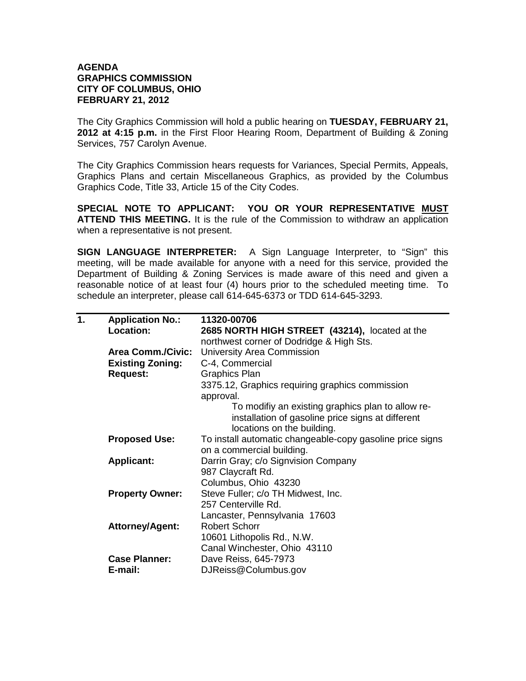## **AGENDA GRAPHICS COMMISSION CITY OF COLUMBUS, OHIO FEBRUARY 21, 2012**

The City Graphics Commission will hold a public hearing on **TUESDAY, FEBRUARY 21, 2012 at 4:15 p.m.** in the First Floor Hearing Room, Department of Building & Zoning Services, 757 Carolyn Avenue.

The City Graphics Commission hears requests for Variances, Special Permits, Appeals, Graphics Plans and certain Miscellaneous Graphics, as provided by the Columbus Graphics Code, Title 33, Article 15 of the City Codes.

**SPECIAL NOTE TO APPLICANT: YOU OR YOUR REPRESENTATIVE MUST ATTEND THIS MEETING.** It is the rule of the Commission to withdraw an application when a representative is not present.

**SIGN LANGUAGE INTERPRETER:** A Sign Language Interpreter, to "Sign" this meeting, will be made available for anyone with a need for this service, provided the Department of Building & Zoning Services is made aware of this need and given a reasonable notice of at least four (4) hours prior to the scheduled meeting time. To schedule an interpreter, please call 614-645-6373 or TDD 614-645-3293.

| 1. | <b>Application No.:</b>  | 11320-00706                                                                                                                          |
|----|--------------------------|--------------------------------------------------------------------------------------------------------------------------------------|
|    | Location:                | 2685 NORTH HIGH STREET (43214), located at the                                                                                       |
|    |                          | northwest corner of Dodridge & High Sts.                                                                                             |
|    | <b>Area Comm./Civic:</b> | University Area Commission                                                                                                           |
|    | <b>Existing Zoning:</b>  | C-4, Commercial                                                                                                                      |
|    | <b>Request:</b>          | <b>Graphics Plan</b>                                                                                                                 |
|    |                          | 3375.12, Graphics requiring graphics commission<br>approval.                                                                         |
|    |                          | To modifiy an existing graphics plan to allow re-<br>installation of gasoline price signs at different<br>locations on the building. |
|    | <b>Proposed Use:</b>     | To install automatic changeable-copy gasoline price signs<br>on a commercial building.                                               |
|    | <b>Applicant:</b>        | Darrin Gray; c/o Signvision Company                                                                                                  |
|    |                          | 987 Claycraft Rd.                                                                                                                    |
|    |                          | Columbus, Ohio 43230                                                                                                                 |
|    | <b>Property Owner:</b>   | Steve Fuller; c/o TH Midwest, Inc.                                                                                                   |
|    |                          | 257 Centerville Rd.                                                                                                                  |
|    |                          | Lancaster, Pennsylvania 17603                                                                                                        |
|    | <b>Attorney/Agent:</b>   | <b>Robert Schorr</b>                                                                                                                 |
|    |                          | 10601 Lithopolis Rd., N.W.                                                                                                           |
|    |                          | Canal Winchester, Ohio 43110                                                                                                         |
|    | <b>Case Planner:</b>     | Dave Reiss, 645-7973                                                                                                                 |
|    | E-mail:                  | DJReiss@Columbus.gov                                                                                                                 |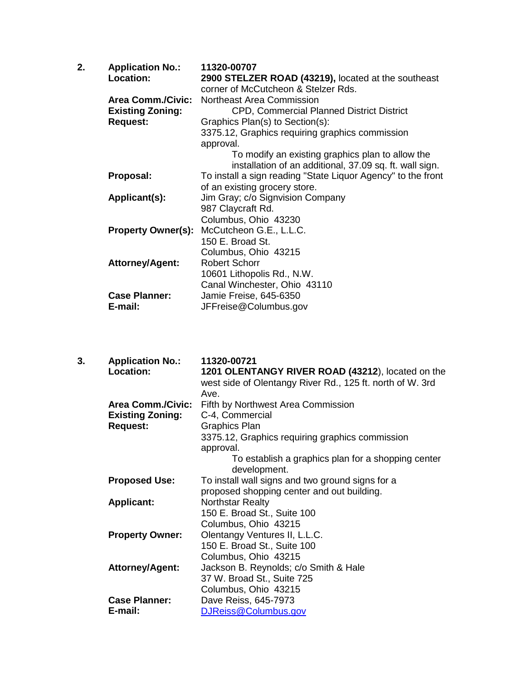| 2.<br><b>Application No.:</b><br>Location:<br><b>Area Comm./Civic:</b><br><b>Existing Zoning:</b><br><b>Request:</b> | 11320-00707<br>2900 STELZER ROAD (43219), located at the southeast<br>corner of McCutcheon & Stelzer Rds.<br>Northeast Area Commission<br><b>CPD, Commercial Planned District District</b><br>Graphics Plan(s) to Section(s):<br>3375.12, Graphics requiring graphics commission<br>approval.<br>To modify an existing graphics plan to allow the |
|----------------------------------------------------------------------------------------------------------------------|---------------------------------------------------------------------------------------------------------------------------------------------------------------------------------------------------------------------------------------------------------------------------------------------------------------------------------------------------|
| Proposal:                                                                                                            | installation of an additional, 37.09 sq. ft. wall sign.<br>To install a sign reading "State Liquor Agency" to the front<br>of an existing grocery store.                                                                                                                                                                                          |
| Applicant(s):                                                                                                        | Jim Gray; c/o Signvision Company<br>987 Claycraft Rd.                                                                                                                                                                                                                                                                                             |
| <b>Property Owner(s):</b>                                                                                            | Columbus, Ohio 43230<br>McCutcheon G.E., L.L.C.                                                                                                                                                                                                                                                                                                   |
| <b>Attorney/Agent:</b>                                                                                               | 150 E. Broad St.<br>Columbus, Ohio 43215<br><b>Robert Schorr</b>                                                                                                                                                                                                                                                                                  |
| <b>Case Planner:</b>                                                                                                 | 10601 Lithopolis Rd., N.W.<br>Canal Winchester, Ohio 43110<br>Jamie Freise, 645-6350                                                                                                                                                                                                                                                              |
| E-mail:                                                                                                              | JFFreise@Columbus.gov                                                                                                                                                                                                                                                                                                                             |

| 3. | <b>Application No.:</b><br>Location: | 11320-00721<br>1201 OLENTANGY RIVER ROAD (43212), located on the<br>west side of Olentangy River Rd., 125 ft. north of W. 3rd<br>Ave. |
|----|--------------------------------------|---------------------------------------------------------------------------------------------------------------------------------------|
|    | <b>Area Comm./Civic:</b>             | Fifth by Northwest Area Commission                                                                                                    |
|    | <b>Existing Zoning:</b>              | C-4, Commercial                                                                                                                       |
|    | <b>Request:</b>                      | <b>Graphics Plan</b>                                                                                                                  |
|    |                                      | 3375.12, Graphics requiring graphics commission                                                                                       |
|    |                                      | approval.                                                                                                                             |
|    |                                      | To establish a graphics plan for a shopping center                                                                                    |
|    |                                      | development.                                                                                                                          |
|    | <b>Proposed Use:</b>                 | To install wall signs and two ground signs for a                                                                                      |
|    |                                      | proposed shopping center and out building.                                                                                            |
|    | <b>Applicant:</b>                    | <b>Northstar Realty</b>                                                                                                               |
|    |                                      | 150 E. Broad St., Suite 100                                                                                                           |
|    |                                      | Columbus, Ohio 43215                                                                                                                  |
|    | <b>Property Owner:</b>               | Olentangy Ventures II, L.L.C.                                                                                                         |
|    |                                      | 150 E. Broad St., Suite 100                                                                                                           |
|    |                                      | Columbus, Ohio 43215                                                                                                                  |
|    | <b>Attorney/Agent:</b>               | Jackson B. Reynolds; c/o Smith & Hale                                                                                                 |
|    |                                      | 37 W. Broad St., Suite 725                                                                                                            |
|    |                                      | Columbus, Ohio 43215                                                                                                                  |
|    | <b>Case Planner:</b>                 | Dave Reiss, 645-7973                                                                                                                  |
|    | E-mail:                              | DJReiss@Columbus.gov                                                                                                                  |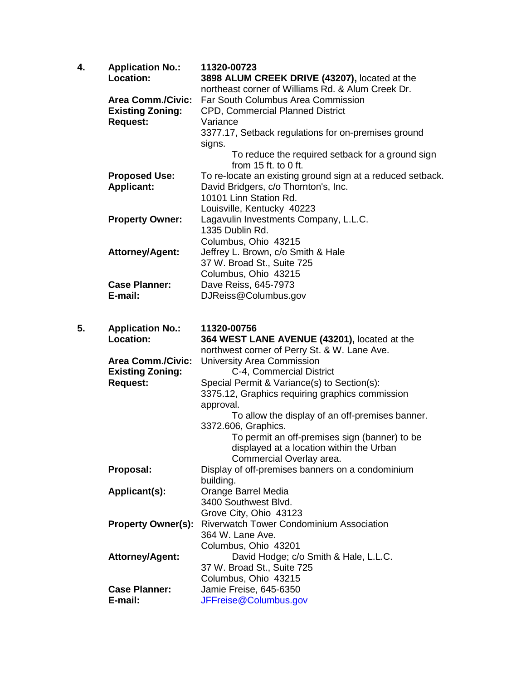| 4. | <b>Application No.:</b>   | 11320-00723                                                                             |
|----|---------------------------|-----------------------------------------------------------------------------------------|
|    | Location:                 | 3898 ALUM CREEK DRIVE (43207), located at the                                           |
|    | <b>Area Comm./Civic:</b>  | northeast corner of Williams Rd. & Alum Creek Dr.<br>Far South Columbus Area Commission |
|    |                           |                                                                                         |
|    | <b>Existing Zoning:</b>   | CPD, Commercial Planned District<br>Variance                                            |
|    | <b>Request:</b>           |                                                                                         |
|    |                           | 3377.17, Setback regulations for on-premises ground                                     |
|    |                           | signs.<br>To reduce the required setback for a ground sign                              |
|    |                           | from $15$ ft. to 0 ft.                                                                  |
|    | <b>Proposed Use:</b>      | To re-locate an existing ground sign at a reduced setback.                              |
|    | <b>Applicant:</b>         | David Bridgers, c/o Thornton's, Inc.                                                    |
|    |                           | 10101 Linn Station Rd.                                                                  |
|    |                           | Louisville, Kentucky 40223                                                              |
|    | <b>Property Owner:</b>    | Lagavulin Investments Company, L.L.C.                                                   |
|    |                           | 1335 Dublin Rd.                                                                         |
|    |                           | Columbus, Ohio 43215                                                                    |
|    | <b>Attorney/Agent:</b>    | Jeffrey L. Brown, c/o Smith & Hale                                                      |
|    |                           | 37 W. Broad St., Suite 725                                                              |
|    |                           | Columbus, Ohio 43215                                                                    |
|    | <b>Case Planner:</b>      | Dave Reiss, 645-7973                                                                    |
|    | E-mail:                   | DJReiss@Columbus.gov                                                                    |
|    |                           |                                                                                         |
| 5. | <b>Application No.:</b>   | 11320-00756                                                                             |
|    | <b>Location:</b>          | 364 WEST LANE AVENUE (43201), located at the                                            |
|    |                           | northwest corner of Perry St. & W. Lane Ave.                                            |
|    | <b>Area Comm./Civic:</b>  | <b>University Area Commission</b>                                                       |
|    | <b>Existing Zoning:</b>   | C-4, Commercial District                                                                |
|    | <b>Request:</b>           | Special Permit & Variance(s) to Section(s):                                             |
|    |                           | 3375.12, Graphics requiring graphics commission                                         |
|    |                           | approval.                                                                               |
|    |                           | To allow the display of an off-premises banner.                                         |
|    |                           | 3372.606, Graphics.                                                                     |
|    |                           | To permit an off-premises sign (banner) to be                                           |
|    |                           | displayed at a location within the Urban<br>Commercial Overlay area.                    |
|    | Proposal:                 | Display of off-premises banners on a condominium                                        |
|    |                           | building.                                                                               |
|    | Applicant(s):             | Orange Barrel Media                                                                     |
|    |                           | 3400 Southwest Blvd.                                                                    |
|    |                           | Grove City, Ohio 43123                                                                  |
|    | <b>Property Owner(s):</b> | <b>Riverwatch Tower Condominium Association</b>                                         |
|    |                           | 364 W. Lane Ave.                                                                        |
|    |                           | Columbus, Ohio 43201                                                                    |
|    | <b>Attorney/Agent:</b>    | David Hodge; c/o Smith & Hale, L.L.C.                                                   |
|    |                           | 37 W. Broad St., Suite 725                                                              |
|    |                           | Columbus, Ohio 43215                                                                    |
|    | <b>Case Planner:</b>      | Jamie Freise, 645-6350                                                                  |
|    | E-mail:                   | JFFreise@Columbus.gov                                                                   |